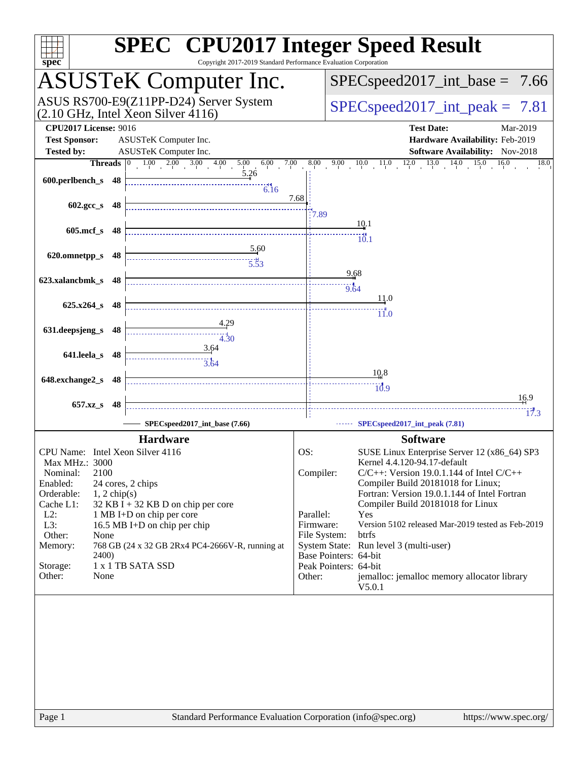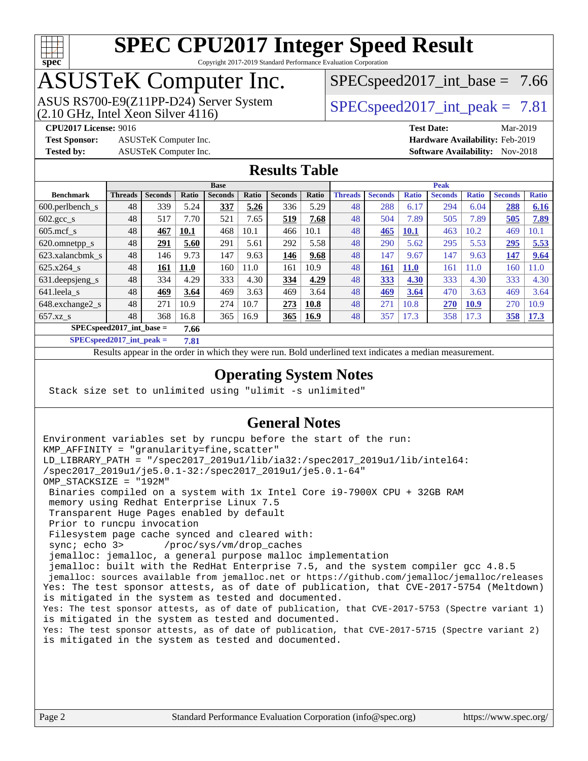

Copyright 2017-2019 Standard Performance Evaluation Corporation

# ASUSTeK Computer Inc.

ASUS RS700-E9(Z11PP-D24) Server System<br>(2.10 GHz, Intel Xeon Silver 4116)

 $SPECspeed2017\_int\_base = 7.66$ 

 $SPECspeed2017\_int\_peak = 7.81$ 

**[Test Sponsor:](http://www.spec.org/auto/cpu2017/Docs/result-fields.html#TestSponsor)** ASUSTeK Computer Inc. **[Hardware Availability:](http://www.spec.org/auto/cpu2017/Docs/result-fields.html#HardwareAvailability)** Feb-2019

**[CPU2017 License:](http://www.spec.org/auto/cpu2017/Docs/result-fields.html#CPU2017License)** 9016 **[Test Date:](http://www.spec.org/auto/cpu2017/Docs/result-fields.html#TestDate)** Mar-2019 **[Tested by:](http://www.spec.org/auto/cpu2017/Docs/result-fields.html#Testedby)** ASUSTeK Computer Inc. **[Software Availability:](http://www.spec.org/auto/cpu2017/Docs/result-fields.html#SoftwareAvailability)** Nov-2018

### **[Results Table](http://www.spec.org/auto/cpu2017/Docs/result-fields.html#ResultsTable)**

|                                    | <b>Base</b>    |                |             |                |       |                |       |                | <b>Peak</b>    |              |                |              |                |              |  |
|------------------------------------|----------------|----------------|-------------|----------------|-------|----------------|-------|----------------|----------------|--------------|----------------|--------------|----------------|--------------|--|
| <b>Benchmark</b>                   | <b>Threads</b> | <b>Seconds</b> | Ratio       | <b>Seconds</b> | Ratio | <b>Seconds</b> | Ratio | <b>Threads</b> | <b>Seconds</b> | <b>Ratio</b> | <b>Seconds</b> | <b>Ratio</b> | <b>Seconds</b> | <b>Ratio</b> |  |
| $600.$ perlbench $\mathsf{S}$      | 48             | 339            | 5.24        | 337            | 5.26  | 336            | 5.29  | 48             | 288            | 6.17         | 294            | 6.04         | 288            | 6.16         |  |
| $602.\text{gcc s}$                 | 48             | 517            | 7.70        | 521            | 7.65  | 519            | 7.68  | 48             | 504            | 7.89         | 505            | 7.89         | 505            | 7.89         |  |
| $605$ .mcf s                       | 48             | 467            | 10.1        | 468            | 10.1  | 466            | 10.1  | 48             | 465            | <b>10.1</b>  | 463            | 10.2         | 469            | 10.1         |  |
| 620.omnetpp_s                      | 48             | 291            | 5.60        | 291            | 5.61  | 292            | 5.58  | 48             | 290            | 5.62         | 295            | 5.53         | 295            | 5.53         |  |
| 623.xalancbmk_s                    | 48             | 146            | 9.73        | 147            | 9.63  | 146            | 9.68  | 48             | 147            | 9.67         | 147            | 9.63         | 147            | 9.64         |  |
| 625.x264 s                         | 48             | 161            | <b>11.0</b> | 160            | 11.0  | 161            | 10.9  | 48             | 161            | <b>11.0</b>  | 161            | 11.0         | 160            | 1.0          |  |
| 631.deepsjeng_s                    | 48             | 334            | 4.29        | 333            | 4.30  | 334            | 4.29  | 48             | 333            | 4.30         | 333            | 4.30         | 333            | 4.30         |  |
| 641.leela s                        | 48             | 469            | 3.64        | 469            | 3.63  | 469            | 3.64  | 48             | 469            | 3.64         | 470            | 3.63         | 469            | 3.64         |  |
| 648.exchange2 s                    | 48             | 271            | 10.9        | 274            | 10.7  | 273            | 10.8  | 48             | 271            | 10.8         | 270            | 10.9         | 270            | 10.9         |  |
| $657.xz$ s                         | 48             | 368            | 16.8        | 365            | 16.9  | 365            | 16.9  | 48             | 357            | 17.3         | 358            | 17.3         | 358            | 17.3         |  |
| $SPECspeed2017$ int base =<br>7.66 |                |                |             |                |       |                |       |                |                |              |                |              |                |              |  |

**[SPECspeed2017\\_int\\_peak =](http://www.spec.org/auto/cpu2017/Docs/result-fields.html#SPECspeed2017intpeak) 7.81**

Results appear in the [order in which they were run.](http://www.spec.org/auto/cpu2017/Docs/result-fields.html#RunOrder) Bold underlined text [indicates a median measurement](http://www.spec.org/auto/cpu2017/Docs/result-fields.html#Median).

### **[Operating System Notes](http://www.spec.org/auto/cpu2017/Docs/result-fields.html#OperatingSystemNotes)**

Stack size set to unlimited using "ulimit -s unlimited"

### **[General Notes](http://www.spec.org/auto/cpu2017/Docs/result-fields.html#GeneralNotes)**

Environment variables set by runcpu before the start of the run: KMP\_AFFINITY = "granularity=fine,scatter" LD\_LIBRARY\_PATH = "/spec2017\_2019u1/lib/ia32:/spec2017\_2019u1/lib/intel64: /spec2017\_2019u1/je5.0.1-32:/spec2017\_2019u1/je5.0.1-64" OMP\_STACKSIZE = "192M" Binaries compiled on a system with 1x Intel Core i9-7900X CPU + 32GB RAM memory using Redhat Enterprise Linux 7.5 Transparent Huge Pages enabled by default Prior to runcpu invocation Filesystem page cache synced and cleared with: sync; echo 3> /proc/sys/vm/drop\_caches jemalloc: jemalloc, a general purpose malloc implementation jemalloc: built with the RedHat Enterprise 7.5, and the system compiler gcc 4.8.5 jemalloc: sources available from jemalloc.net or<https://github.com/jemalloc/jemalloc/releases> Yes: The test sponsor attests, as of date of publication, that CVE-2017-5754 (Meltdown) is mitigated in the system as tested and documented. Yes: The test sponsor attests, as of date of publication, that CVE-2017-5753 (Spectre variant 1) is mitigated in the system as tested and documented. Yes: The test sponsor attests, as of date of publication, that CVE-2017-5715 (Spectre variant 2) is mitigated in the system as tested and documented.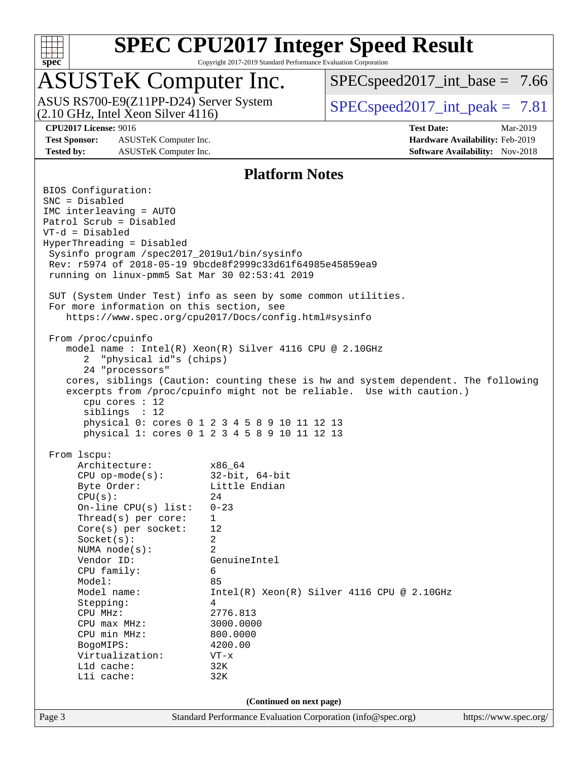

Copyright 2017-2019 Standard Performance Evaluation Corporation

## ASUSTeK Computer Inc.

(2.10 GHz, Intel Xeon Silver 4116) ASUS RS700-E9(Z11PP-D24) Server System  $SPIECSpeed2017$  int\_peak = 7.81

 $SPEC speed2017\_int\_base = 7.66$ 

**[Test Sponsor:](http://www.spec.org/auto/cpu2017/Docs/result-fields.html#TestSponsor)** ASUSTeK Computer Inc. **[Hardware Availability:](http://www.spec.org/auto/cpu2017/Docs/result-fields.html#HardwareAvailability)** Feb-2019 **[Tested by:](http://www.spec.org/auto/cpu2017/Docs/result-fields.html#Testedby)** ASUSTeK Computer Inc. **[Software Availability:](http://www.spec.org/auto/cpu2017/Docs/result-fields.html#SoftwareAvailability)** Nov-2018

**[CPU2017 License:](http://www.spec.org/auto/cpu2017/Docs/result-fields.html#CPU2017License)** 9016 **[Test Date:](http://www.spec.org/auto/cpu2017/Docs/result-fields.html#TestDate)** Mar-2019

#### **[Platform Notes](http://www.spec.org/auto/cpu2017/Docs/result-fields.html#PlatformNotes)**

Page 3 Standard Performance Evaluation Corporation [\(info@spec.org\)](mailto:info@spec.org) <https://www.spec.org/> BIOS Configuration: SNC = Disabled IMC interleaving = AUTO Patrol Scrub = Disabled VT-d = Disabled HyperThreading = Disabled Sysinfo program /spec2017\_2019u1/bin/sysinfo Rev: r5974 of 2018-05-19 9bcde8f2999c33d61f64985e45859ea9 running on linux-pmm5 Sat Mar 30 02:53:41 2019 SUT (System Under Test) info as seen by some common utilities. For more information on this section, see <https://www.spec.org/cpu2017/Docs/config.html#sysinfo> From /proc/cpuinfo model name : Intel(R) Xeon(R) Silver 4116 CPU @ 2.10GHz 2 "physical id"s (chips) 24 "processors" cores, siblings (Caution: counting these is hw and system dependent. The following excerpts from /proc/cpuinfo might not be reliable. Use with caution.) cpu cores : 12 siblings : 12 physical 0: cores 0 1 2 3 4 5 8 9 10 11 12 13 physical 1: cores 0 1 2 3 4 5 8 9 10 11 12 13 From lscpu: Architecture: x86\_64 CPU op-mode(s): 32-bit, 64-bit Byte Order: Little Endian  $CPU(s):$  24 On-line CPU(s) list: 0-23 Thread(s) per core: 1 Core(s) per socket: 12 Socket(s): 2 NUMA node(s): 2 Vendor ID: GenuineIntel CPU family: 6 Model: 85 Model name:  $Intel(R)$  Xeon(R) Silver 4116 CPU @ 2.10GHz Stepping: 4 CPU MHz: 2776.813 CPU max MHz: 3000.0000 CPU min MHz: 800.0000 BogoMIPS: 4200.00 Virtualization: VT-x L1d cache: 32K L1i cache: 32K **(Continued on next page)**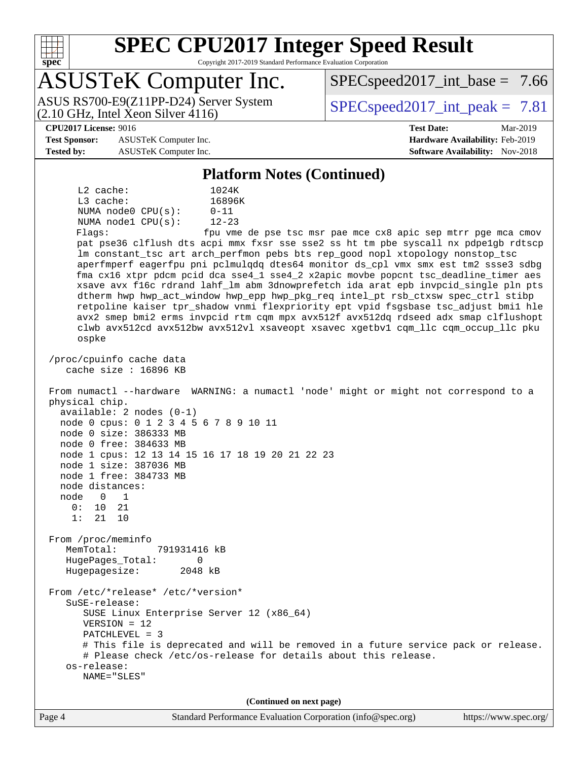

Copyright 2017-2019 Standard Performance Evaluation Corporation

# ASUSTeK Computer Inc.

(2.10 GHz, Intel Xeon Silver 4116) ASUS RS700-E9(Z11PP-D24) Server System  $SPIECSpeed2017$  int\_peak = 7.81

 $SPECspeed2017\_int\_base = 7.66$ 

#### **[CPU2017 License:](http://www.spec.org/auto/cpu2017/Docs/result-fields.html#CPU2017License)** 9016 **[Test Date:](http://www.spec.org/auto/cpu2017/Docs/result-fields.html#TestDate)** Mar-2019

**[Test Sponsor:](http://www.spec.org/auto/cpu2017/Docs/result-fields.html#TestSponsor)** ASUSTeK Computer Inc. **[Hardware Availability:](http://www.spec.org/auto/cpu2017/Docs/result-fields.html#HardwareAvailability)** Feb-2019 **[Tested by:](http://www.spec.org/auto/cpu2017/Docs/result-fields.html#Testedby)** ASUSTeK Computer Inc. **[Software Availability:](http://www.spec.org/auto/cpu2017/Docs/result-fields.html#SoftwareAvailability)** Nov-2018

#### **[Platform Notes \(Continued\)](http://www.spec.org/auto/cpu2017/Docs/result-fields.html#PlatformNotes)**

 L2 cache: 1024K L3 cache: 16896K NUMA node0 CPU(s): 0-11 NUMA node1 CPU(s): 12-23

Flags: fpu vme de pse tsc msr pae mce cx8 apic sep mtrr pge mca cmov pat pse36 clflush dts acpi mmx fxsr sse sse2 ss ht tm pbe syscall nx pdpe1gb rdtscp lm constant\_tsc art arch\_perfmon pebs bts rep\_good nopl xtopology nonstop\_tsc aperfmperf eagerfpu pni pclmulqdq dtes64 monitor ds\_cpl vmx smx est tm2 ssse3 sdbg fma cx16 xtpr pdcm pcid dca sse4\_1 sse4\_2 x2apic movbe popcnt tsc\_deadline\_timer aes xsave avx f16c rdrand lahf\_lm abm 3dnowprefetch ida arat epb invpcid\_single pln pts dtherm hwp hwp\_act\_window hwp\_epp hwp\_pkg\_req intel\_pt rsb\_ctxsw spec\_ctrl stibp retpoline kaiser tpr\_shadow vnmi flexpriority ept vpid fsgsbase tsc\_adjust bmi1 hle avx2 smep bmi2 erms invpcid rtm cqm mpx avx512f avx512dq rdseed adx smap clflushopt clwb avx512cd avx512bw avx512vl xsaveopt xsavec xgetbv1 cqm\_llc cqm\_occup\_llc pku ospke

 /proc/cpuinfo cache data cache size : 16896 KB

 From numactl --hardware WARNING: a numactl 'node' might or might not correspond to a physical chip. available: 2 nodes (0-1)

 node 0 cpus: 0 1 2 3 4 5 6 7 8 9 10 11 node 0 size: 386333 MB node 0 free: 384633 MB node 1 cpus: 12 13 14 15 16 17 18 19 20 21 22 23 node 1 size: 387036 MB

 node 1 free: 384733 MB node distances:

node 0 1<br>0: 10 21 0: 10 21 1: 21 10

 From /proc/meminfo MemTotal: 791931416 kB HugePages\_Total: 0

Hugepagesize: 2048 kB

 From /etc/\*release\* /etc/\*version\* SuSE-release: SUSE Linux Enterprise Server 12 (x86\_64) VERSION = 12 PATCHLEVEL = 3 # This file is deprecated and will be removed in a future service pack or release. # Please check /etc/os-release for details about this release. os-release: NAME="SLES"

**(Continued on next page)**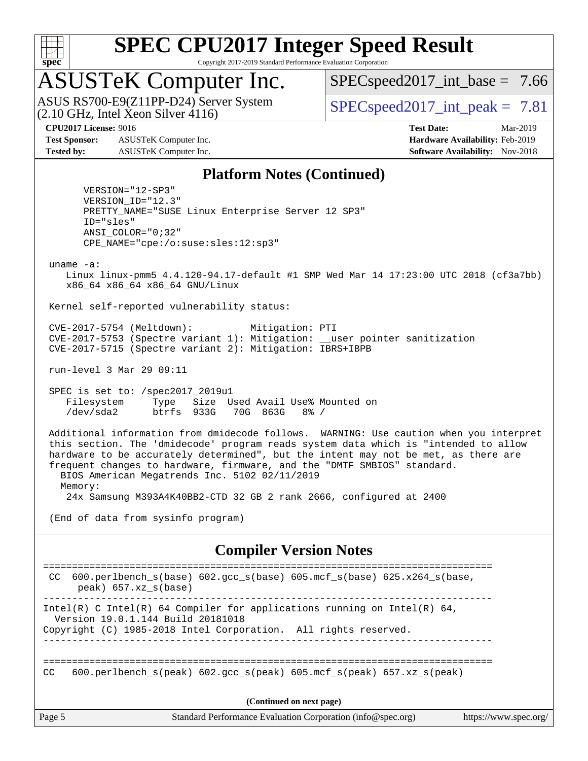

Copyright 2017-2019 Standard Performance Evaluation Corporation

# ASUSTeK Computer Inc.

 $(2.10 \text{ GHz}, \text{Intel } \hat{\text{X}}$ con Silver 4116) ASUS RS700-E9(Z11PP-D24) Server System  $\sqrt{\text{SPEC speed2017\_int\_peak}} = 7.81$ 

 $SPECspeed2017\_int\_base = 7.66$ 

**[Test Sponsor:](http://www.spec.org/auto/cpu2017/Docs/result-fields.html#TestSponsor)** ASUSTeK Computer Inc. **[Hardware Availability:](http://www.spec.org/auto/cpu2017/Docs/result-fields.html#HardwareAvailability)** Feb-2019 **[Tested by:](http://www.spec.org/auto/cpu2017/Docs/result-fields.html#Testedby)** ASUSTeK Computer Inc. **[Software Availability:](http://www.spec.org/auto/cpu2017/Docs/result-fields.html#SoftwareAvailability)** Nov-2018

**[CPU2017 License:](http://www.spec.org/auto/cpu2017/Docs/result-fields.html#CPU2017License)** 9016 **[Test Date:](http://www.spec.org/auto/cpu2017/Docs/result-fields.html#TestDate)** Mar-2019

#### **[Platform Notes \(Continued\)](http://www.spec.org/auto/cpu2017/Docs/result-fields.html#PlatformNotes)**

 VERSION="12-SP3" VERSION\_ID="12.3" PRETTY\_NAME="SUSE Linux Enterprise Server 12 SP3" ID="sles" ANSI\_COLOR="0;32" CPE\_NAME="cpe:/o:suse:sles:12:sp3"

uname -a:

 Linux linux-pmm5 4.4.120-94.17-default #1 SMP Wed Mar 14 17:23:00 UTC 2018 (cf3a7bb) x86\_64 x86\_64 x86\_64 GNU/Linux

Kernel self-reported vulnerability status:

 CVE-2017-5754 (Meltdown): Mitigation: PTI CVE-2017-5753 (Spectre variant 1): Mitigation: \_\_user pointer sanitization CVE-2017-5715 (Spectre variant 2): Mitigation: IBRS+IBPB

run-level 3 Mar 29 09:11

 SPEC is set to: /spec2017\_2019u1 Filesystem Type Size Used Avail Use% Mounted on /dev/sda2 btrfs 933G 70G 863G 8% /

 Additional information from dmidecode follows. WARNING: Use caution when you interpret this section. The 'dmidecode' program reads system data which is "intended to allow hardware to be accurately determined", but the intent may not be met, as there are frequent changes to hardware, firmware, and the "DMTF SMBIOS" standard. BIOS American Megatrends Inc. 5102 02/11/2019

Memory:

24x Samsung M393A4K40BB2-CTD 32 GB 2 rank 2666, configured at 2400

(End of data from sysinfo program)

#### **[Compiler Version Notes](http://www.spec.org/auto/cpu2017/Docs/result-fields.html#CompilerVersionNotes)**

Page 5 Standard Performance Evaluation Corporation [\(info@spec.org\)](mailto:info@spec.org) <https://www.spec.org/> ============================================================================== CC 600.perlbench\_s(base) 602.gcc\_s(base) 605.mcf\_s(base) 625.x264\_s(base, peak) 657.xz\_s(base) ------------------------------------------------------------------------------ Intel(R) C Intel(R) 64 Compiler for applications running on Intel(R)  $64$ , Version 19.0.1.144 Build 20181018 Copyright (C) 1985-2018 Intel Corporation. All rights reserved. ------------------------------------------------------------------------------ ============================================================================== CC 600.perlbench s(peak) 602.gcc s(peak) 605.mcf s(peak) 657.xz s(peak) **(Continued on next page)**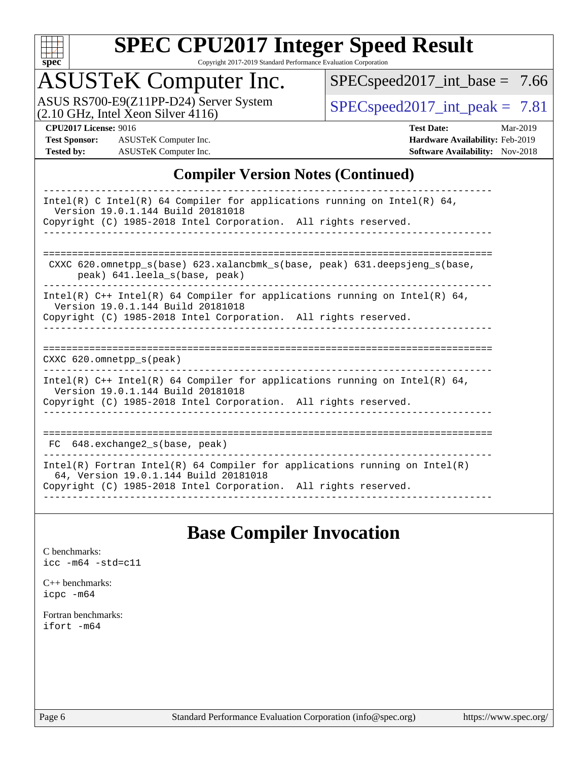

Copyright 2017-2019 Standard Performance Evaluation Corporation

## ASUSTeK Computer Inc.

ASUS RS700-E9(Z11PP-D24) Server System <br>(2.10 GHz, Intel Xeon Silver 4116) [SPECspeed2017\\_int\\_peak =](http://www.spec.org/auto/cpu2017/Docs/result-fields.html#SPECspeed2017intpeak) 7.81

[SPECspeed2017\\_int\\_base =](http://www.spec.org/auto/cpu2017/Docs/result-fields.html#SPECspeed2017intbase) 7.66

**[Test Sponsor:](http://www.spec.org/auto/cpu2017/Docs/result-fields.html#TestSponsor)** ASUSTeK Computer Inc. **[Hardware Availability:](http://www.spec.org/auto/cpu2017/Docs/result-fields.html#HardwareAvailability)** Feb-2019 **[Tested by:](http://www.spec.org/auto/cpu2017/Docs/result-fields.html#Testedby)** ASUSTeK Computer Inc. **[Software Availability:](http://www.spec.org/auto/cpu2017/Docs/result-fields.html#SoftwareAvailability)** Nov-2018

**[CPU2017 License:](http://www.spec.org/auto/cpu2017/Docs/result-fields.html#CPU2017License)** 9016 **[Test Date:](http://www.spec.org/auto/cpu2017/Docs/result-fields.html#TestDate)** Mar-2019

### **[Compiler Version Notes \(Continued\)](http://www.spec.org/auto/cpu2017/Docs/result-fields.html#CompilerVersionNotes)**

| Intel(R) C Intel(R) 64 Compiler for applications running on Intel(R) 64,<br>Version 19.0.1.144 Build 20181018<br>Copyright (C) 1985-2018 Intel Corporation. All rights reserved.       |
|----------------------------------------------------------------------------------------------------------------------------------------------------------------------------------------|
| CXXC 620.omnetpp $s(base)$ 623.xalancbmk $s(base, peak)$ 631.deepsjeng $s(base,$<br>peak) 641. leela s(base, peak)                                                                     |
| Intel(R) $C++$ Intel(R) 64 Compiler for applications running on Intel(R) 64,<br>Version 19.0.1.144 Build 20181018<br>Copyright (C) 1985-2018 Intel Corporation. All rights reserved.   |
| $CXXC$ 620.omnetpp $s$ (peak)                                                                                                                                                          |
| Intel(R) $C++$ Intel(R) 64 Compiler for applications running on Intel(R) 64,<br>Version 19.0.1.144 Build 20181018<br>Copyright (C) 1985-2018 Intel Corporation. All rights reserved.   |
| FC 648. exchange2 s(base, peak)                                                                                                                                                        |
| Intel(R) Fortran Intel(R) 64 Compiler for applications running on Intel(R)<br>64, Version 19.0.1.144 Build 20181018<br>Copyright (C) 1985-2018 Intel Corporation. All rights reserved. |

## **[Base Compiler Invocation](http://www.spec.org/auto/cpu2017/Docs/result-fields.html#BaseCompilerInvocation)**

[C benchmarks](http://www.spec.org/auto/cpu2017/Docs/result-fields.html#Cbenchmarks): [icc -m64 -std=c11](http://www.spec.org/cpu2017/results/res2019q2/cpu2017-20190411-11815.flags.html#user_CCbase_intel_icc_64bit_c11_33ee0cdaae7deeeab2a9725423ba97205ce30f63b9926c2519791662299b76a0318f32ddfffdc46587804de3178b4f9328c46fa7c2b0cd779d7a61945c91cd35)

[C++ benchmarks:](http://www.spec.org/auto/cpu2017/Docs/result-fields.html#CXXbenchmarks) [icpc -m64](http://www.spec.org/cpu2017/results/res2019q2/cpu2017-20190411-11815.flags.html#user_CXXbase_intel_icpc_64bit_4ecb2543ae3f1412ef961e0650ca070fec7b7afdcd6ed48761b84423119d1bf6bdf5cad15b44d48e7256388bc77273b966e5eb805aefd121eb22e9299b2ec9d9)

[Fortran benchmarks](http://www.spec.org/auto/cpu2017/Docs/result-fields.html#Fortranbenchmarks): [ifort -m64](http://www.spec.org/cpu2017/results/res2019q2/cpu2017-20190411-11815.flags.html#user_FCbase_intel_ifort_64bit_24f2bb282fbaeffd6157abe4f878425411749daecae9a33200eee2bee2fe76f3b89351d69a8130dd5949958ce389cf37ff59a95e7a40d588e8d3a57e0c3fd751)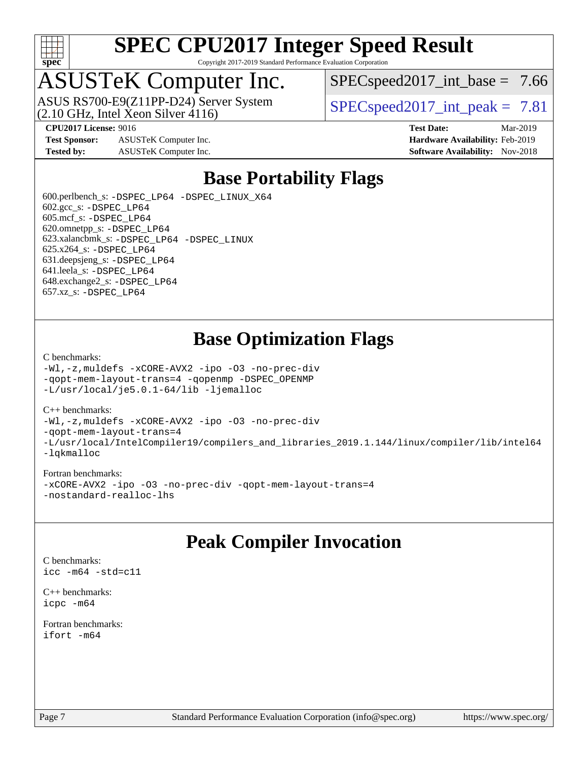

Copyright 2017-2019 Standard Performance Evaluation Corporation

# ASUSTeK Computer Inc.

 $(2.10 \text{ GHz}, \text{Intel } \hat{\text{X}}$ con Silver 4116) ASUS RS700-E9(Z11PP-D24) Server System  $SPIECSpeed2017$  int\_peak = 7.81

 $SPECspeed2017\_int\_base = 7.66$ 

**[Test Sponsor:](http://www.spec.org/auto/cpu2017/Docs/result-fields.html#TestSponsor)** ASUSTeK Computer Inc. **[Hardware Availability:](http://www.spec.org/auto/cpu2017/Docs/result-fields.html#HardwareAvailability)** Feb-2019 **[Tested by:](http://www.spec.org/auto/cpu2017/Docs/result-fields.html#Testedby)** ASUSTeK Computer Inc. **[Software Availability:](http://www.spec.org/auto/cpu2017/Docs/result-fields.html#SoftwareAvailability)** Nov-2018

**[CPU2017 License:](http://www.spec.org/auto/cpu2017/Docs/result-fields.html#CPU2017License)** 9016 **[Test Date:](http://www.spec.org/auto/cpu2017/Docs/result-fields.html#TestDate)** Mar-2019

## **[Base Portability Flags](http://www.spec.org/auto/cpu2017/Docs/result-fields.html#BasePortabilityFlags)**

 600.perlbench\_s: [-DSPEC\\_LP64](http://www.spec.org/cpu2017/results/res2019q2/cpu2017-20190411-11815.flags.html#b600.perlbench_s_basePORTABILITY_DSPEC_LP64) [-DSPEC\\_LINUX\\_X64](http://www.spec.org/cpu2017/results/res2019q2/cpu2017-20190411-11815.flags.html#b600.perlbench_s_baseCPORTABILITY_DSPEC_LINUX_X64)  $602.\text{gcc}\$ s:  $-DSPEC$  LP64 605.mcf\_s: [-DSPEC\\_LP64](http://www.spec.org/cpu2017/results/res2019q2/cpu2017-20190411-11815.flags.html#suite_basePORTABILITY605_mcf_s_DSPEC_LP64) 620.omnetpp\_s: [-DSPEC\\_LP64](http://www.spec.org/cpu2017/results/res2019q2/cpu2017-20190411-11815.flags.html#suite_basePORTABILITY620_omnetpp_s_DSPEC_LP64) 623.xalancbmk\_s: [-DSPEC\\_LP64](http://www.spec.org/cpu2017/results/res2019q2/cpu2017-20190411-11815.flags.html#suite_basePORTABILITY623_xalancbmk_s_DSPEC_LP64) [-DSPEC\\_LINUX](http://www.spec.org/cpu2017/results/res2019q2/cpu2017-20190411-11815.flags.html#b623.xalancbmk_s_baseCXXPORTABILITY_DSPEC_LINUX) 625.x264\_s: [-DSPEC\\_LP64](http://www.spec.org/cpu2017/results/res2019q2/cpu2017-20190411-11815.flags.html#suite_basePORTABILITY625_x264_s_DSPEC_LP64) 631.deepsjeng\_s: [-DSPEC\\_LP64](http://www.spec.org/cpu2017/results/res2019q2/cpu2017-20190411-11815.flags.html#suite_basePORTABILITY631_deepsjeng_s_DSPEC_LP64) 641.leela\_s: [-DSPEC\\_LP64](http://www.spec.org/cpu2017/results/res2019q2/cpu2017-20190411-11815.flags.html#suite_basePORTABILITY641_leela_s_DSPEC_LP64) 648.exchange2\_s: [-DSPEC\\_LP64](http://www.spec.org/cpu2017/results/res2019q2/cpu2017-20190411-11815.flags.html#suite_basePORTABILITY648_exchange2_s_DSPEC_LP64) 657.xz\_s: [-DSPEC\\_LP64](http://www.spec.org/cpu2017/results/res2019q2/cpu2017-20190411-11815.flags.html#suite_basePORTABILITY657_xz_s_DSPEC_LP64)

## **[Base Optimization Flags](http://www.spec.org/auto/cpu2017/Docs/result-fields.html#BaseOptimizationFlags)**

#### [C benchmarks](http://www.spec.org/auto/cpu2017/Docs/result-fields.html#Cbenchmarks):

[-Wl,-z,muldefs](http://www.spec.org/cpu2017/results/res2019q2/cpu2017-20190411-11815.flags.html#user_CCbase_link_force_multiple1_b4cbdb97b34bdee9ceefcfe54f4c8ea74255f0b02a4b23e853cdb0e18eb4525ac79b5a88067c842dd0ee6996c24547a27a4b99331201badda8798ef8a743f577) [-xCORE-AVX2](http://www.spec.org/cpu2017/results/res2019q2/cpu2017-20190411-11815.flags.html#user_CCbase_f-xCORE-AVX2) [-ipo](http://www.spec.org/cpu2017/results/res2019q2/cpu2017-20190411-11815.flags.html#user_CCbase_f-ipo) [-O3](http://www.spec.org/cpu2017/results/res2019q2/cpu2017-20190411-11815.flags.html#user_CCbase_f-O3) [-no-prec-div](http://www.spec.org/cpu2017/results/res2019q2/cpu2017-20190411-11815.flags.html#user_CCbase_f-no-prec-div) [-qopt-mem-layout-trans=4](http://www.spec.org/cpu2017/results/res2019q2/cpu2017-20190411-11815.flags.html#user_CCbase_f-qopt-mem-layout-trans_fa39e755916c150a61361b7846f310bcdf6f04e385ef281cadf3647acec3f0ae266d1a1d22d972a7087a248fd4e6ca390a3634700869573d231a252c784941a8) [-qopenmp](http://www.spec.org/cpu2017/results/res2019q2/cpu2017-20190411-11815.flags.html#user_CCbase_qopenmp_16be0c44f24f464004c6784a7acb94aca937f053568ce72f94b139a11c7c168634a55f6653758ddd83bcf7b8463e8028bb0b48b77bcddc6b78d5d95bb1df2967) [-DSPEC\\_OPENMP](http://www.spec.org/cpu2017/results/res2019q2/cpu2017-20190411-11815.flags.html#suite_CCbase_DSPEC_OPENMP) [-L/usr/local/je5.0.1-64/lib](http://www.spec.org/cpu2017/results/res2019q2/cpu2017-20190411-11815.flags.html#user_CCbase_jemalloc_link_path64_4b10a636b7bce113509b17f3bd0d6226c5fb2346b9178c2d0232c14f04ab830f976640479e5c33dc2bcbbdad86ecfb6634cbbd4418746f06f368b512fced5394) [-ljemalloc](http://www.spec.org/cpu2017/results/res2019q2/cpu2017-20190411-11815.flags.html#user_CCbase_jemalloc_link_lib_d1249b907c500fa1c0672f44f562e3d0f79738ae9e3c4a9c376d49f265a04b9c99b167ecedbf6711b3085be911c67ff61f150a17b3472be731631ba4d0471706)

#### [C++ benchmarks:](http://www.spec.org/auto/cpu2017/Docs/result-fields.html#CXXbenchmarks)

[-Wl,-z,muldefs](http://www.spec.org/cpu2017/results/res2019q2/cpu2017-20190411-11815.flags.html#user_CXXbase_link_force_multiple1_b4cbdb97b34bdee9ceefcfe54f4c8ea74255f0b02a4b23e853cdb0e18eb4525ac79b5a88067c842dd0ee6996c24547a27a4b99331201badda8798ef8a743f577) [-xCORE-AVX2](http://www.spec.org/cpu2017/results/res2019q2/cpu2017-20190411-11815.flags.html#user_CXXbase_f-xCORE-AVX2) [-ipo](http://www.spec.org/cpu2017/results/res2019q2/cpu2017-20190411-11815.flags.html#user_CXXbase_f-ipo) [-O3](http://www.spec.org/cpu2017/results/res2019q2/cpu2017-20190411-11815.flags.html#user_CXXbase_f-O3) [-no-prec-div](http://www.spec.org/cpu2017/results/res2019q2/cpu2017-20190411-11815.flags.html#user_CXXbase_f-no-prec-div) [-qopt-mem-layout-trans=4](http://www.spec.org/cpu2017/results/res2019q2/cpu2017-20190411-11815.flags.html#user_CXXbase_f-qopt-mem-layout-trans_fa39e755916c150a61361b7846f310bcdf6f04e385ef281cadf3647acec3f0ae266d1a1d22d972a7087a248fd4e6ca390a3634700869573d231a252c784941a8) [-L/usr/local/IntelCompiler19/compilers\\_and\\_libraries\\_2019.1.144/linux/compiler/lib/intel64](http://www.spec.org/cpu2017/results/res2019q2/cpu2017-20190411-11815.flags.html#user_CXXbase_qkmalloc_link_f25da0aa8cf9bced0533715046f0c2fbfb1a7191e3e496916672e09b4c388a884c4c7e4862cb529343da2264b43416df65c99fd1ddbf5dd13ae6d3130cf47881) [-lqkmalloc](http://www.spec.org/cpu2017/results/res2019q2/cpu2017-20190411-11815.flags.html#user_CXXbase_qkmalloc_link_lib_79a818439969f771c6bc311cfd333c00fc099dad35c030f5aab9dda831713d2015205805422f83de8875488a2991c0a156aaa600e1f9138f8fc37004abc96dc5)

#### [Fortran benchmarks:](http://www.spec.org/auto/cpu2017/Docs/result-fields.html#Fortranbenchmarks)

[-xCORE-AVX2](http://www.spec.org/cpu2017/results/res2019q2/cpu2017-20190411-11815.flags.html#user_FCbase_f-xCORE-AVX2) [-ipo](http://www.spec.org/cpu2017/results/res2019q2/cpu2017-20190411-11815.flags.html#user_FCbase_f-ipo) [-O3](http://www.spec.org/cpu2017/results/res2019q2/cpu2017-20190411-11815.flags.html#user_FCbase_f-O3) [-no-prec-div](http://www.spec.org/cpu2017/results/res2019q2/cpu2017-20190411-11815.flags.html#user_FCbase_f-no-prec-div) [-qopt-mem-layout-trans=4](http://www.spec.org/cpu2017/results/res2019q2/cpu2017-20190411-11815.flags.html#user_FCbase_f-qopt-mem-layout-trans_fa39e755916c150a61361b7846f310bcdf6f04e385ef281cadf3647acec3f0ae266d1a1d22d972a7087a248fd4e6ca390a3634700869573d231a252c784941a8) [-nostandard-realloc-lhs](http://www.spec.org/cpu2017/results/res2019q2/cpu2017-20190411-11815.flags.html#user_FCbase_f_2003_std_realloc_82b4557e90729c0f113870c07e44d33d6f5a304b4f63d4c15d2d0f1fab99f5daaed73bdb9275d9ae411527f28b936061aa8b9c8f2d63842963b95c9dd6426b8a)

### **[Peak Compiler Invocation](http://www.spec.org/auto/cpu2017/Docs/result-fields.html#PeakCompilerInvocation)**

[C benchmarks](http://www.spec.org/auto/cpu2017/Docs/result-fields.html#Cbenchmarks): [icc -m64 -std=c11](http://www.spec.org/cpu2017/results/res2019q2/cpu2017-20190411-11815.flags.html#user_CCpeak_intel_icc_64bit_c11_33ee0cdaae7deeeab2a9725423ba97205ce30f63b9926c2519791662299b76a0318f32ddfffdc46587804de3178b4f9328c46fa7c2b0cd779d7a61945c91cd35)

[C++ benchmarks:](http://www.spec.org/auto/cpu2017/Docs/result-fields.html#CXXbenchmarks) [icpc -m64](http://www.spec.org/cpu2017/results/res2019q2/cpu2017-20190411-11815.flags.html#user_CXXpeak_intel_icpc_64bit_4ecb2543ae3f1412ef961e0650ca070fec7b7afdcd6ed48761b84423119d1bf6bdf5cad15b44d48e7256388bc77273b966e5eb805aefd121eb22e9299b2ec9d9)

[Fortran benchmarks](http://www.spec.org/auto/cpu2017/Docs/result-fields.html#Fortranbenchmarks): [ifort -m64](http://www.spec.org/cpu2017/results/res2019q2/cpu2017-20190411-11815.flags.html#user_FCpeak_intel_ifort_64bit_24f2bb282fbaeffd6157abe4f878425411749daecae9a33200eee2bee2fe76f3b89351d69a8130dd5949958ce389cf37ff59a95e7a40d588e8d3a57e0c3fd751)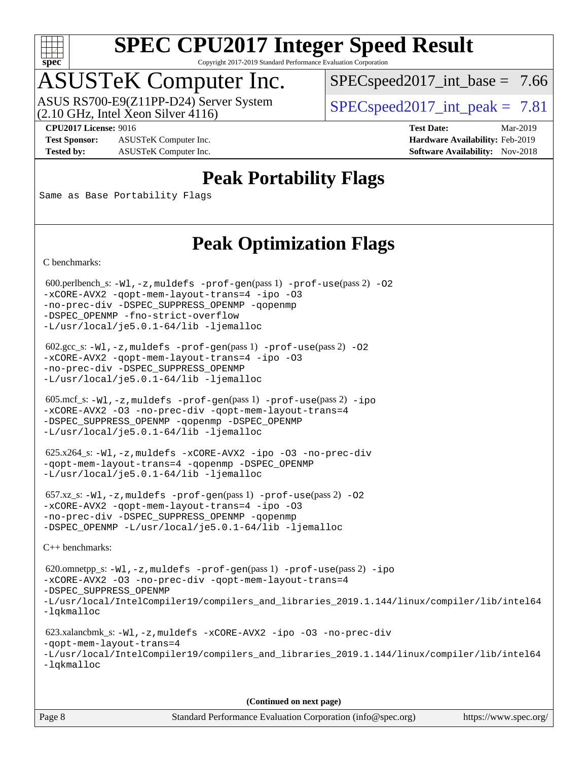

Copyright 2017-2019 Standard Performance Evaluation Corporation

## ASUSTeK Computer Inc.

 $(2.10 \text{ GHz}, \text{Intel } \hat{\text{X}}$ con Silver 4116) ASUS RS700-E9(Z11PP-D24) Server System  $SPIECSpeed2017$  int\_peak = 7.81

 $SPECspeed2017\_int\_base = 7.66$ 

**[Test Sponsor:](http://www.spec.org/auto/cpu2017/Docs/result-fields.html#TestSponsor)** ASUSTeK Computer Inc. **[Hardware Availability:](http://www.spec.org/auto/cpu2017/Docs/result-fields.html#HardwareAvailability)** Feb-2019 **[Tested by:](http://www.spec.org/auto/cpu2017/Docs/result-fields.html#Testedby)** ASUSTeK Computer Inc. **[Software Availability:](http://www.spec.org/auto/cpu2017/Docs/result-fields.html#SoftwareAvailability)** Nov-2018

**[CPU2017 License:](http://www.spec.org/auto/cpu2017/Docs/result-fields.html#CPU2017License)** 9016 **[Test Date:](http://www.spec.org/auto/cpu2017/Docs/result-fields.html#TestDate)** Mar-2019

## **[Peak Portability Flags](http://www.spec.org/auto/cpu2017/Docs/result-fields.html#PeakPortabilityFlags)**

Same as Base Portability Flags

## **[Peak Optimization Flags](http://www.spec.org/auto/cpu2017/Docs/result-fields.html#PeakOptimizationFlags)**

[C benchmarks](http://www.spec.org/auto/cpu2017/Docs/result-fields.html#Cbenchmarks):

600.perlbench\_s:  $-W1$ , -z, muldefs [-prof-gen](http://www.spec.org/cpu2017/results/res2019q2/cpu2017-20190411-11815.flags.html#user_peakPASS1_CFLAGSPASS1_LDFLAGS600_perlbench_s_prof_gen_5aa4926d6013ddb2a31985c654b3eb18169fc0c6952a63635c234f711e6e63dd76e94ad52365559451ec499a2cdb89e4dc58ba4c67ef54ca681ffbe1461d6b36)(pass 1) [-prof-use](http://www.spec.org/cpu2017/results/res2019q2/cpu2017-20190411-11815.flags.html#user_peakPASS2_CFLAGSPASS2_LDFLAGS600_perlbench_s_prof_use_1a21ceae95f36a2b53c25747139a6c16ca95bd9def2a207b4f0849963b97e94f5260e30a0c64f4bb623698870e679ca08317ef8150905d41bd88c6f78df73f19)(pass 2) -02 [-xCORE-AVX2](http://www.spec.org/cpu2017/results/res2019q2/cpu2017-20190411-11815.flags.html#user_peakPASS2_COPTIMIZE600_perlbench_s_f-xCORE-AVX2) [-qopt-mem-layout-trans=4](http://www.spec.org/cpu2017/results/res2019q2/cpu2017-20190411-11815.flags.html#user_peakPASS1_COPTIMIZEPASS2_COPTIMIZE600_perlbench_s_f-qopt-mem-layout-trans_fa39e755916c150a61361b7846f310bcdf6f04e385ef281cadf3647acec3f0ae266d1a1d22d972a7087a248fd4e6ca390a3634700869573d231a252c784941a8) [-ipo](http://www.spec.org/cpu2017/results/res2019q2/cpu2017-20190411-11815.flags.html#user_peakPASS2_COPTIMIZE600_perlbench_s_f-ipo) [-O3](http://www.spec.org/cpu2017/results/res2019q2/cpu2017-20190411-11815.flags.html#user_peakPASS2_COPTIMIZE600_perlbench_s_f-O3) [-no-prec-div](http://www.spec.org/cpu2017/results/res2019q2/cpu2017-20190411-11815.flags.html#user_peakPASS2_COPTIMIZE600_perlbench_s_f-no-prec-div) [-DSPEC\\_SUPPRESS\\_OPENMP](http://www.spec.org/cpu2017/results/res2019q2/cpu2017-20190411-11815.flags.html#suite_peakPASS1_COPTIMIZE600_perlbench_s_DSPEC_SUPPRESS_OPENMP) [-qopenmp](http://www.spec.org/cpu2017/results/res2019q2/cpu2017-20190411-11815.flags.html#user_peakPASS2_COPTIMIZE600_perlbench_s_qopenmp_16be0c44f24f464004c6784a7acb94aca937f053568ce72f94b139a11c7c168634a55f6653758ddd83bcf7b8463e8028bb0b48b77bcddc6b78d5d95bb1df2967) [-DSPEC\\_OPENMP](http://www.spec.org/cpu2017/results/res2019q2/cpu2017-20190411-11815.flags.html#suite_peakPASS2_COPTIMIZE600_perlbench_s_DSPEC_OPENMP) [-fno-strict-overflow](http://www.spec.org/cpu2017/results/res2019q2/cpu2017-20190411-11815.flags.html#user_peakEXTRA_OPTIMIZE600_perlbench_s_f-fno-strict-overflow) [-L/usr/local/je5.0.1-64/lib](http://www.spec.org/cpu2017/results/res2019q2/cpu2017-20190411-11815.flags.html#user_peakEXTRA_LIBS600_perlbench_s_jemalloc_link_path64_4b10a636b7bce113509b17f3bd0d6226c5fb2346b9178c2d0232c14f04ab830f976640479e5c33dc2bcbbdad86ecfb6634cbbd4418746f06f368b512fced5394) [-ljemalloc](http://www.spec.org/cpu2017/results/res2019q2/cpu2017-20190411-11815.flags.html#user_peakEXTRA_LIBS600_perlbench_s_jemalloc_link_lib_d1249b907c500fa1c0672f44f562e3d0f79738ae9e3c4a9c376d49f265a04b9c99b167ecedbf6711b3085be911c67ff61f150a17b3472be731631ba4d0471706)

 602.gcc\_s: [-Wl,-z,muldefs](http://www.spec.org/cpu2017/results/res2019q2/cpu2017-20190411-11815.flags.html#user_peakEXTRA_LDFLAGS602_gcc_s_link_force_multiple1_b4cbdb97b34bdee9ceefcfe54f4c8ea74255f0b02a4b23e853cdb0e18eb4525ac79b5a88067c842dd0ee6996c24547a27a4b99331201badda8798ef8a743f577) [-prof-gen](http://www.spec.org/cpu2017/results/res2019q2/cpu2017-20190411-11815.flags.html#user_peakPASS1_CFLAGSPASS1_LDFLAGS602_gcc_s_prof_gen_5aa4926d6013ddb2a31985c654b3eb18169fc0c6952a63635c234f711e6e63dd76e94ad52365559451ec499a2cdb89e4dc58ba4c67ef54ca681ffbe1461d6b36)(pass 1) [-prof-use](http://www.spec.org/cpu2017/results/res2019q2/cpu2017-20190411-11815.flags.html#user_peakPASS2_CFLAGSPASS2_LDFLAGS602_gcc_s_prof_use_1a21ceae95f36a2b53c25747139a6c16ca95bd9def2a207b4f0849963b97e94f5260e30a0c64f4bb623698870e679ca08317ef8150905d41bd88c6f78df73f19)(pass 2) [-O2](http://www.spec.org/cpu2017/results/res2019q2/cpu2017-20190411-11815.flags.html#user_peakPASS1_COPTIMIZE602_gcc_s_f-O2) [-xCORE-AVX2](http://www.spec.org/cpu2017/results/res2019q2/cpu2017-20190411-11815.flags.html#user_peakPASS2_COPTIMIZE602_gcc_s_f-xCORE-AVX2) [-qopt-mem-layout-trans=4](http://www.spec.org/cpu2017/results/res2019q2/cpu2017-20190411-11815.flags.html#user_peakPASS1_COPTIMIZEPASS2_COPTIMIZE602_gcc_s_f-qopt-mem-layout-trans_fa39e755916c150a61361b7846f310bcdf6f04e385ef281cadf3647acec3f0ae266d1a1d22d972a7087a248fd4e6ca390a3634700869573d231a252c784941a8) [-ipo](http://www.spec.org/cpu2017/results/res2019q2/cpu2017-20190411-11815.flags.html#user_peakPASS2_COPTIMIZE602_gcc_s_f-ipo) [-O3](http://www.spec.org/cpu2017/results/res2019q2/cpu2017-20190411-11815.flags.html#user_peakPASS2_COPTIMIZE602_gcc_s_f-O3) [-no-prec-div](http://www.spec.org/cpu2017/results/res2019q2/cpu2017-20190411-11815.flags.html#user_peakPASS2_COPTIMIZE602_gcc_s_f-no-prec-div) [-DSPEC\\_SUPPRESS\\_OPENMP](http://www.spec.org/cpu2017/results/res2019q2/cpu2017-20190411-11815.flags.html#suite_peakPASS1_COPTIMIZE602_gcc_s_DSPEC_SUPPRESS_OPENMP) [-L/usr/local/je5.0.1-64/lib](http://www.spec.org/cpu2017/results/res2019q2/cpu2017-20190411-11815.flags.html#user_peakEXTRA_LIBS602_gcc_s_jemalloc_link_path64_4b10a636b7bce113509b17f3bd0d6226c5fb2346b9178c2d0232c14f04ab830f976640479e5c33dc2bcbbdad86ecfb6634cbbd4418746f06f368b512fced5394) [-ljemalloc](http://www.spec.org/cpu2017/results/res2019q2/cpu2017-20190411-11815.flags.html#user_peakEXTRA_LIBS602_gcc_s_jemalloc_link_lib_d1249b907c500fa1c0672f44f562e3d0f79738ae9e3c4a9c376d49f265a04b9c99b167ecedbf6711b3085be911c67ff61f150a17b3472be731631ba4d0471706)

 605.mcf\_s: [-Wl,-z,muldefs](http://www.spec.org/cpu2017/results/res2019q2/cpu2017-20190411-11815.flags.html#user_peakEXTRA_LDFLAGS605_mcf_s_link_force_multiple1_b4cbdb97b34bdee9ceefcfe54f4c8ea74255f0b02a4b23e853cdb0e18eb4525ac79b5a88067c842dd0ee6996c24547a27a4b99331201badda8798ef8a743f577) [-prof-gen](http://www.spec.org/cpu2017/results/res2019q2/cpu2017-20190411-11815.flags.html#user_peakPASS1_CFLAGSPASS1_LDFLAGS605_mcf_s_prof_gen_5aa4926d6013ddb2a31985c654b3eb18169fc0c6952a63635c234f711e6e63dd76e94ad52365559451ec499a2cdb89e4dc58ba4c67ef54ca681ffbe1461d6b36)(pass 1) [-prof-use](http://www.spec.org/cpu2017/results/res2019q2/cpu2017-20190411-11815.flags.html#user_peakPASS2_CFLAGSPASS2_LDFLAGS605_mcf_s_prof_use_1a21ceae95f36a2b53c25747139a6c16ca95bd9def2a207b4f0849963b97e94f5260e30a0c64f4bb623698870e679ca08317ef8150905d41bd88c6f78df73f19)(pass 2) [-ipo](http://www.spec.org/cpu2017/results/res2019q2/cpu2017-20190411-11815.flags.html#user_peakPASS1_COPTIMIZEPASS2_COPTIMIZE605_mcf_s_f-ipo) [-xCORE-AVX2](http://www.spec.org/cpu2017/results/res2019q2/cpu2017-20190411-11815.flags.html#user_peakPASS2_COPTIMIZE605_mcf_s_f-xCORE-AVX2) [-O3](http://www.spec.org/cpu2017/results/res2019q2/cpu2017-20190411-11815.flags.html#user_peakPASS1_COPTIMIZEPASS2_COPTIMIZE605_mcf_s_f-O3) [-no-prec-div](http://www.spec.org/cpu2017/results/res2019q2/cpu2017-20190411-11815.flags.html#user_peakPASS1_COPTIMIZEPASS2_COPTIMIZE605_mcf_s_f-no-prec-div) [-qopt-mem-layout-trans=4](http://www.spec.org/cpu2017/results/res2019q2/cpu2017-20190411-11815.flags.html#user_peakPASS1_COPTIMIZEPASS2_COPTIMIZE605_mcf_s_f-qopt-mem-layout-trans_fa39e755916c150a61361b7846f310bcdf6f04e385ef281cadf3647acec3f0ae266d1a1d22d972a7087a248fd4e6ca390a3634700869573d231a252c784941a8) [-DSPEC\\_SUPPRESS\\_OPENMP](http://www.spec.org/cpu2017/results/res2019q2/cpu2017-20190411-11815.flags.html#suite_peakPASS1_COPTIMIZE605_mcf_s_DSPEC_SUPPRESS_OPENMP) [-qopenmp](http://www.spec.org/cpu2017/results/res2019q2/cpu2017-20190411-11815.flags.html#user_peakPASS2_COPTIMIZE605_mcf_s_qopenmp_16be0c44f24f464004c6784a7acb94aca937f053568ce72f94b139a11c7c168634a55f6653758ddd83bcf7b8463e8028bb0b48b77bcddc6b78d5d95bb1df2967) [-DSPEC\\_OPENMP](http://www.spec.org/cpu2017/results/res2019q2/cpu2017-20190411-11815.flags.html#suite_peakPASS2_COPTIMIZE605_mcf_s_DSPEC_OPENMP) [-L/usr/local/je5.0.1-64/lib](http://www.spec.org/cpu2017/results/res2019q2/cpu2017-20190411-11815.flags.html#user_peakEXTRA_LIBS605_mcf_s_jemalloc_link_path64_4b10a636b7bce113509b17f3bd0d6226c5fb2346b9178c2d0232c14f04ab830f976640479e5c33dc2bcbbdad86ecfb6634cbbd4418746f06f368b512fced5394) [-ljemalloc](http://www.spec.org/cpu2017/results/res2019q2/cpu2017-20190411-11815.flags.html#user_peakEXTRA_LIBS605_mcf_s_jemalloc_link_lib_d1249b907c500fa1c0672f44f562e3d0f79738ae9e3c4a9c376d49f265a04b9c99b167ecedbf6711b3085be911c67ff61f150a17b3472be731631ba4d0471706)

 625.x264\_s: [-Wl,-z,muldefs](http://www.spec.org/cpu2017/results/res2019q2/cpu2017-20190411-11815.flags.html#user_peakEXTRA_LDFLAGS625_x264_s_link_force_multiple1_b4cbdb97b34bdee9ceefcfe54f4c8ea74255f0b02a4b23e853cdb0e18eb4525ac79b5a88067c842dd0ee6996c24547a27a4b99331201badda8798ef8a743f577) [-xCORE-AVX2](http://www.spec.org/cpu2017/results/res2019q2/cpu2017-20190411-11815.flags.html#user_peakCOPTIMIZE625_x264_s_f-xCORE-AVX2) [-ipo](http://www.spec.org/cpu2017/results/res2019q2/cpu2017-20190411-11815.flags.html#user_peakCOPTIMIZE625_x264_s_f-ipo) [-O3](http://www.spec.org/cpu2017/results/res2019q2/cpu2017-20190411-11815.flags.html#user_peakCOPTIMIZE625_x264_s_f-O3) [-no-prec-div](http://www.spec.org/cpu2017/results/res2019q2/cpu2017-20190411-11815.flags.html#user_peakCOPTIMIZE625_x264_s_f-no-prec-div) [-qopt-mem-layout-trans=4](http://www.spec.org/cpu2017/results/res2019q2/cpu2017-20190411-11815.flags.html#user_peakCOPTIMIZE625_x264_s_f-qopt-mem-layout-trans_fa39e755916c150a61361b7846f310bcdf6f04e385ef281cadf3647acec3f0ae266d1a1d22d972a7087a248fd4e6ca390a3634700869573d231a252c784941a8) [-qopenmp](http://www.spec.org/cpu2017/results/res2019q2/cpu2017-20190411-11815.flags.html#user_peakCOPTIMIZE625_x264_s_qopenmp_16be0c44f24f464004c6784a7acb94aca937f053568ce72f94b139a11c7c168634a55f6653758ddd83bcf7b8463e8028bb0b48b77bcddc6b78d5d95bb1df2967) [-DSPEC\\_OPENMP](http://www.spec.org/cpu2017/results/res2019q2/cpu2017-20190411-11815.flags.html#suite_peakCOPTIMIZE625_x264_s_DSPEC_OPENMP) [-L/usr/local/je5.0.1-64/lib](http://www.spec.org/cpu2017/results/res2019q2/cpu2017-20190411-11815.flags.html#user_peakEXTRA_LIBS625_x264_s_jemalloc_link_path64_4b10a636b7bce113509b17f3bd0d6226c5fb2346b9178c2d0232c14f04ab830f976640479e5c33dc2bcbbdad86ecfb6634cbbd4418746f06f368b512fced5394) [-ljemalloc](http://www.spec.org/cpu2017/results/res2019q2/cpu2017-20190411-11815.flags.html#user_peakEXTRA_LIBS625_x264_s_jemalloc_link_lib_d1249b907c500fa1c0672f44f562e3d0f79738ae9e3c4a9c376d49f265a04b9c99b167ecedbf6711b3085be911c67ff61f150a17b3472be731631ba4d0471706)

 657.xz\_s: [-Wl,-z,muldefs](http://www.spec.org/cpu2017/results/res2019q2/cpu2017-20190411-11815.flags.html#user_peakEXTRA_LDFLAGS657_xz_s_link_force_multiple1_b4cbdb97b34bdee9ceefcfe54f4c8ea74255f0b02a4b23e853cdb0e18eb4525ac79b5a88067c842dd0ee6996c24547a27a4b99331201badda8798ef8a743f577) [-prof-gen](http://www.spec.org/cpu2017/results/res2019q2/cpu2017-20190411-11815.flags.html#user_peakPASS1_CFLAGSPASS1_LDFLAGS657_xz_s_prof_gen_5aa4926d6013ddb2a31985c654b3eb18169fc0c6952a63635c234f711e6e63dd76e94ad52365559451ec499a2cdb89e4dc58ba4c67ef54ca681ffbe1461d6b36)(pass 1) [-prof-use](http://www.spec.org/cpu2017/results/res2019q2/cpu2017-20190411-11815.flags.html#user_peakPASS2_CFLAGSPASS2_LDFLAGS657_xz_s_prof_use_1a21ceae95f36a2b53c25747139a6c16ca95bd9def2a207b4f0849963b97e94f5260e30a0c64f4bb623698870e679ca08317ef8150905d41bd88c6f78df73f19)(pass 2) [-O2](http://www.spec.org/cpu2017/results/res2019q2/cpu2017-20190411-11815.flags.html#user_peakPASS1_COPTIMIZE657_xz_s_f-O2) [-xCORE-AVX2](http://www.spec.org/cpu2017/results/res2019q2/cpu2017-20190411-11815.flags.html#user_peakPASS2_COPTIMIZE657_xz_s_f-xCORE-AVX2) [-qopt-mem-layout-trans=4](http://www.spec.org/cpu2017/results/res2019q2/cpu2017-20190411-11815.flags.html#user_peakPASS1_COPTIMIZEPASS2_COPTIMIZE657_xz_s_f-qopt-mem-layout-trans_fa39e755916c150a61361b7846f310bcdf6f04e385ef281cadf3647acec3f0ae266d1a1d22d972a7087a248fd4e6ca390a3634700869573d231a252c784941a8) [-ipo](http://www.spec.org/cpu2017/results/res2019q2/cpu2017-20190411-11815.flags.html#user_peakPASS2_COPTIMIZE657_xz_s_f-ipo) [-O3](http://www.spec.org/cpu2017/results/res2019q2/cpu2017-20190411-11815.flags.html#user_peakPASS2_COPTIMIZE657_xz_s_f-O3) [-no-prec-div](http://www.spec.org/cpu2017/results/res2019q2/cpu2017-20190411-11815.flags.html#user_peakPASS2_COPTIMIZE657_xz_s_f-no-prec-div) [-DSPEC\\_SUPPRESS\\_OPENMP](http://www.spec.org/cpu2017/results/res2019q2/cpu2017-20190411-11815.flags.html#suite_peakPASS1_COPTIMIZE657_xz_s_DSPEC_SUPPRESS_OPENMP) [-qopenmp](http://www.spec.org/cpu2017/results/res2019q2/cpu2017-20190411-11815.flags.html#user_peakPASS2_COPTIMIZE657_xz_s_qopenmp_16be0c44f24f464004c6784a7acb94aca937f053568ce72f94b139a11c7c168634a55f6653758ddd83bcf7b8463e8028bb0b48b77bcddc6b78d5d95bb1df2967) [-DSPEC\\_OPENMP](http://www.spec.org/cpu2017/results/res2019q2/cpu2017-20190411-11815.flags.html#suite_peakPASS2_COPTIMIZE657_xz_s_DSPEC_OPENMP) [-L/usr/local/je5.0.1-64/lib](http://www.spec.org/cpu2017/results/res2019q2/cpu2017-20190411-11815.flags.html#user_peakEXTRA_LIBS657_xz_s_jemalloc_link_path64_4b10a636b7bce113509b17f3bd0d6226c5fb2346b9178c2d0232c14f04ab830f976640479e5c33dc2bcbbdad86ecfb6634cbbd4418746f06f368b512fced5394) [-ljemalloc](http://www.spec.org/cpu2017/results/res2019q2/cpu2017-20190411-11815.flags.html#user_peakEXTRA_LIBS657_xz_s_jemalloc_link_lib_d1249b907c500fa1c0672f44f562e3d0f79738ae9e3c4a9c376d49f265a04b9c99b167ecedbf6711b3085be911c67ff61f150a17b3472be731631ba4d0471706)

[C++ benchmarks:](http://www.spec.org/auto/cpu2017/Docs/result-fields.html#CXXbenchmarks)

```
 620.omnetpp_s: -Wl,-z,muldefs -prof-gen(pass 1) -prof-use(pass 2) -ipo
-xCORE-AVX2 -O3 -no-prec-div -qopt-mem-layout-trans=4
-DSPEC_SUPPRESS_OPENMP
-L/usr/local/IntelCompiler19/compilers_and_libraries_2019.1.144/linux/compiler/lib/intel64
-lqkmalloc
```

```
 623.xalancbmk_s: -Wl,-z,muldefs -xCORE-AVX2 -ipo -O3 -no-prec-div
-qopt-mem-layout-trans=4
-L/usr/local/IntelCompiler19/compilers_and_libraries_2019.1.144/linux/compiler/lib/intel64
-lqkmalloc
```
**(Continued on next page)**